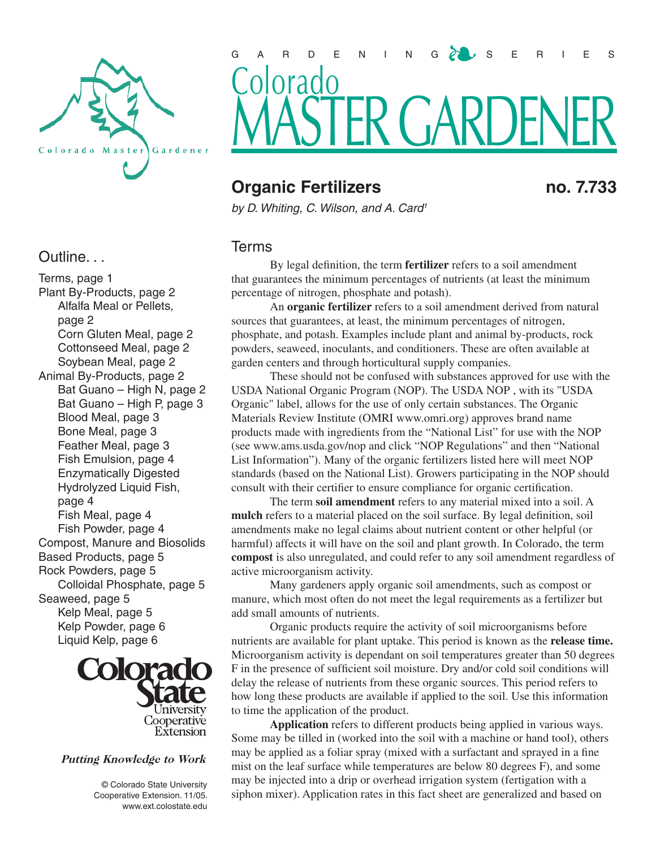

## Outline. . .

Terms, page 1 Plant By-Products, page 2 Alfalfa Meal or Pellets, page 2 Corn Gluten Meal, page 2 Cottonseed Meal, page 2 Soybean Meal, page 2 Animal By-Products, page 2 Bat Guano – High N, page 2 Bat Guano – High P, page 3 Blood Meal, page 3 Bone Meal, page 3 Feather Meal, page 3 Fish Emulsion, page 4 Enzymatically Digested Hydrolyzed Liquid Fish, page 4 Fish Meal, page 4 Fish Powder, page 4 Compost, Manure and Biosolids Based Products, page 5 Rock Powders, page 5 Colloidal Phosphate, page 5 Seaweed, page 5 Kelp Meal, page 5 Kelp Powder, page 6 Liquid Kelp, page 6



## Putting Knowledge to Work

 © Colorado State University Cooperative Extension. 11/05. www.ext.colostate.edu



# **Organic Fertilizers** no. 7.733

*by D. Whiting, C. Wilson, and A. Card1*

## Terms

By legal definition, the term **fertilizer** refers to a soil amendment that guarantees the minimum percentages of nutrients (at least the minimum percentage of nitrogen, phosphate and potash).

An **organic fertilizer** refers to a soil amendment derived from natural sources that guarantees, at least, the minimum percentages of nitrogen, phosphate, and potash. Examples include plant and animal by-products, rock powders, seaweed, inoculants, and conditioners. These are often available at garden centers and through horticultural supply companies.

These should not be confused with substances approved for use with the USDA National Organic Program (NOP). The USDA NOP , with its "USDA Organic" label, allows for the use of only certain substances. The Organic Materials Review Institute (OMRI www.omri.org) approves brand name products made with ingredients from the "National List" for use with the NOP (see www.ams.usda.gov/nop and click "NOP Regulations" and then "National List Information"). Many of the organic fertilizers listed here will meet NOP standards (based on the National List). Growers participating in the NOP should consult with their certifier to ensure compliance for organic certification.

The term **soil amendment** refers to any material mixed into a soil. A **mulch** refers to a material placed on the soil surface. By legal definition, soil amendments make no legal claims about nutrient content or other helpful (or harmful) affects it will have on the soil and plant growth. In Colorado, the term **compost** is also unregulated, and could refer to any soil amendment regardless of active microorganism activity.

Many gardeners apply organic soil amendments, such as compost or manure, which most often do not meet the legal requirements as a fertilizer but add small amounts of nutrients.

Organic products require the activity of soil microorganisms before nutrients are available for plant uptake. This period is known as the **release time.**  Microorganism activity is dependant on soil temperatures greater than 50 degrees F in the presence of sufficient soil moisture. Dry and/or cold soil conditions will delay the release of nutrients from these organic sources. This period refers to how long these products are available if applied to the soil. Use this information to time the application of the product.

**Application** refers to different products being applied in various ways. Some may be tilled in (worked into the soil with a machine or hand tool), others may be applied as a foliar spray (mixed with a surfactant and sprayed in a fine mist on the leaf surface while temperatures are below 80 degrees F), and some may be injected into a drip or overhead irrigation system (fertigation with a siphon mixer). Application rates in this fact sheet are generalized and based on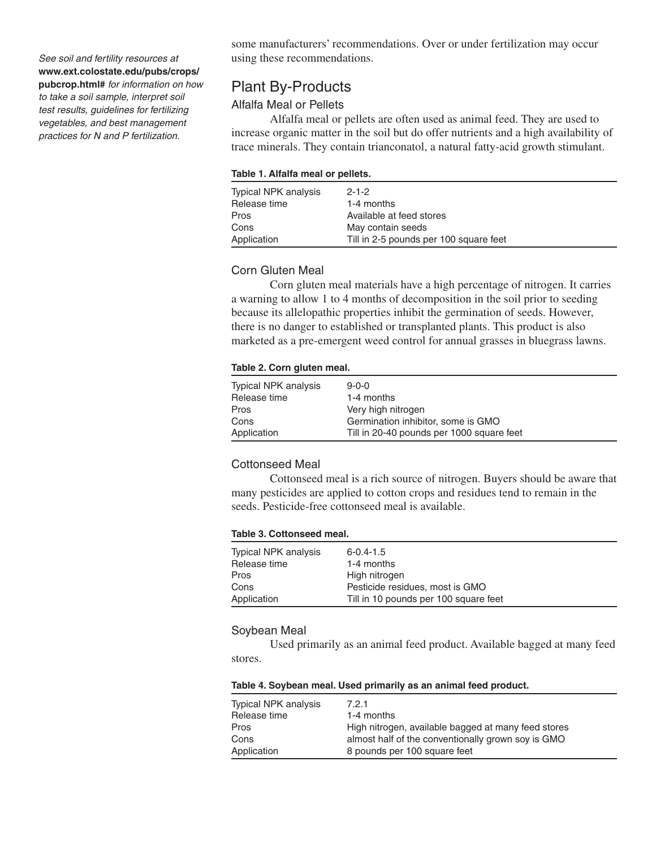*See soil and fertility resources at*  **www.ext.colostate.edu/pubs/crops/ pubcrop.html#** *for information on how to take a soil sample, interpret soil test results, guidelines for fertilizing* 

*vegetables, and best management practices for N and P fertilization.*

some manufacturers' recommendations. Over or under fertilization may occur using these recommendations.

## Plant By-Products

## Alfalfa Meal or Pellets

Alfalfa meal or pellets are often used as animal feed. They are used to increase organic matter in the soil but do offer nutrients and a high availability of trace minerals. They contain trianconatol, a natural fatty-acid growth stimulant.

#### **Table 1. Alfalfa meal or pellets.**

| Typical NPK analysis<br>Release time | $2 - 1 - 2$<br>1-4 months              |
|--------------------------------------|----------------------------------------|
| Pros                                 | Available at feed stores               |
| Cons                                 | May contain seeds                      |
| Application                          | Till in 2-5 pounds per 100 square feet |

## Corn Gluten Meal

Corn gluten meal materials have a high percentage of nitrogen. It carries a warning to allow 1 to 4 months of decomposition in the soil prior to seeding because its allelopathic properties inhibit the germination of seeds. However, there is no danger to established or transplanted plants. This product is also marketed as a pre-emergent weed control for annual grasses in bluegrass lawns.

#### **Table 2. Corn gluten meal.**

| Typical NPK analysis | $9 - 0 - 0$                               |
|----------------------|-------------------------------------------|
| Release time         | 1-4 months                                |
| Pros                 | Very high nitrogen                        |
| Cons                 | Germination inhibitor, some is GMO        |
| Application          | Till in 20-40 pounds per 1000 square feet |

#### Cottonseed Meal

Cottonseed meal is a rich source of nitrogen. Buyers should be aware that many pesticides are applied to cotton crops and residues tend to remain in the seeds. Pesticide-free cottonseed meal is available.

#### **Table 3. Cottonseed meal.**

| Typical NPK analysis<br>Release time | $6 - 0.4 - 1.5$<br>1-4 months         |
|--------------------------------------|---------------------------------------|
| Pros                                 | High nitrogen                         |
| Cons                                 | Pesticide residues, most is GMO       |
| Application                          | Till in 10 pounds per 100 square feet |

#### Soybean Meal

Used primarily as an animal feed product. Available bagged at many feed stores.

### **Table 4. Soybean meal. Used primarily as an animal feed product.**

| Typical NPK analysis | 7.2.1                                               |
|----------------------|-----------------------------------------------------|
| Release time         | 1-4 months                                          |
| Pros                 | High nitrogen, available bagged at many feed stores |
| Cons                 | almost half of the conventionally grown soy is GMO  |
| Application          | 8 pounds per 100 square feet                        |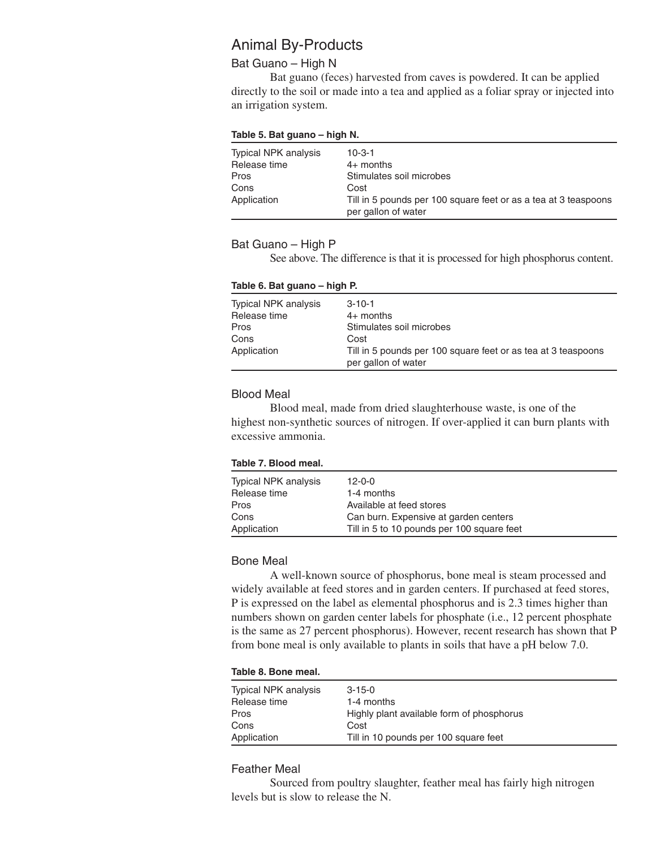## Animal By-Products

## Bat Guano – High N

Bat guano (feces) harvested from caves is powdered. It can be applied directly to the soil or made into a tea and applied as a foliar spray or injected into an irrigation system.

#### **Table 5. Bat guano – high N.**

| Typical NPK analysis<br>Release time | $10 - 3 - 1$<br>$4+$ months                                     |
|--------------------------------------|-----------------------------------------------------------------|
| Pros                                 | Stimulates soil microbes                                        |
| Cons                                 | Cost                                                            |
| Application                          | Till in 5 pounds per 100 square feet or as a tea at 3 teaspoons |
|                                      | per gallon of water                                             |

### Bat Guano – High P

See above. The difference is that it is processed for high phosphorus content.

#### **Table 6. Bat guano – high P.**

| $3 - 10 - 1$                                                                         |
|--------------------------------------------------------------------------------------|
| $4+$ months                                                                          |
| Stimulates soil microbes                                                             |
| Cost                                                                                 |
| Till in 5 pounds per 100 square feet or as tea at 3 teaspoons<br>per gallon of water |
|                                                                                      |

### Blood Meal

Blood meal, made from dried slaughterhouse waste, is one of the highest non-synthetic sources of nitrogen. If over-applied it can burn plants with excessive ammonia.

#### **Table 7. Blood meal.**

| Typical NPK analysis<br>Release time | $12 - 0 - 0$<br>1-4 months                 |
|--------------------------------------|--------------------------------------------|
| Pros                                 | Available at feed stores                   |
| Cons                                 | Can burn. Expensive at garden centers      |
| Application                          | Till in 5 to 10 pounds per 100 square feet |

#### Bone Meal

A well-known source of phosphorus, bone meal is steam processed and widely available at feed stores and in garden centers. If purchased at feed stores, P is expressed on the label as elemental phosphorus and is 2.3 times higher than numbers shown on garden center labels for phosphate (i.e., 12 percent phosphate is the same as 27 percent phosphorus). However, recent research has shown that P from bone meal is only available to plants in soils that have a pH below 7.0.

#### **Table 8. Bone meal.**

| Typical NPK analysis<br>Release time | 3-15-0<br>1-4 months                      |
|--------------------------------------|-------------------------------------------|
| Pros                                 | Highly plant available form of phosphorus |
| Cons                                 | Cost                                      |
| Application                          | Till in 10 pounds per 100 square feet     |

## Feather Meal

Sourced from poultry slaughter, feather meal has fairly high nitrogen levels but is slow to release the N.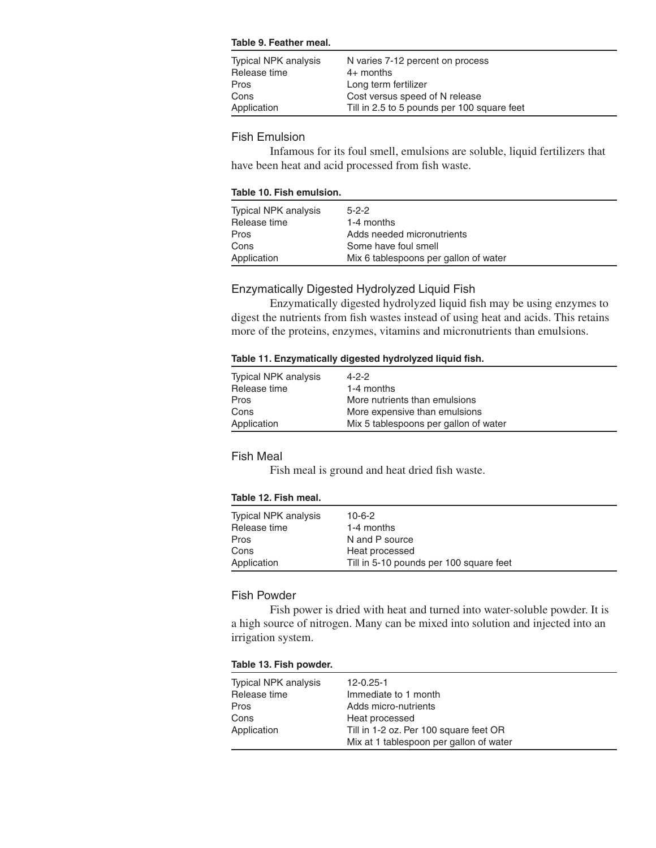#### **Table 9. Feather meal.**

| Typical NPK analysis<br>Release time | N varies 7-12 percent on process<br>$4+$ months |
|--------------------------------------|-------------------------------------------------|
| Pros                                 | Long term fertilizer                            |
| Cons                                 | Cost versus speed of N release                  |
| Application                          | Till in 2.5 to 5 pounds per 100 square feet     |
|                                      |                                                 |

## Fish Emulsion

Infamous for its foul smell, emulsions are soluble, liquid fertilizers that have been heat and acid processed from fish waste.

#### **Table 10. Fish emulsion.**

| Typical NPK analysis | $5 - 2 - 2$                           |
|----------------------|---------------------------------------|
| Release time         | 1-4 months                            |
| Pros                 | Adds needed micronutrients            |
| Cons                 | Some have foul smell                  |
| Application          | Mix 6 tablespoons per gallon of water |

## Enzymatically Digested Hydrolyzed Liquid Fish

Enzymatically digested hydrolyzed liquid fish may be using enzymes to digest the nutrients from fish wastes instead of using heat and acids. This retains more of the proteins, enzymes, vitamins and micronutrients than emulsions.

#### **Table 11. Enzymatically digested hydrolyzed liquid fish.**

| Typical NPK analysis<br>Release time | $4 - 2 - 2$<br>1-4 months             |
|--------------------------------------|---------------------------------------|
| Pros                                 | More nutrients than emulsions         |
| Cons                                 | More expensive than emulsions         |
| Application                          | Mix 5 tablespoons per gallon of water |

## Fish Meal

Fish meal is ground and heat dried fish waste.

#### **Table 12. Fish meal.**

| Typical NPK analysis | $10 - 6 - 2$                            |
|----------------------|-----------------------------------------|
| Release time         | 1-4 months                              |
| Pros                 | N and P source                          |
| Cons                 | Heat processed                          |
| Application          | Till in 5-10 pounds per 100 square feet |

### Fish Powder

Fish power is dried with heat and turned into water-soluble powder. It is a high source of nitrogen. Many can be mixed into solution and injected into an irrigation system.

#### **Table 13. Fish powder.**

| Typical NPK analysis | 12-0.25-1                               |
|----------------------|-----------------------------------------|
| Release time         | Immediate to 1 month                    |
| Pros                 | Adds micro-nutrients                    |
| Cons                 | Heat processed                          |
| Application          | Till in 1-2 oz. Per 100 square feet OR  |
|                      | Mix at 1 tablespoon per gallon of water |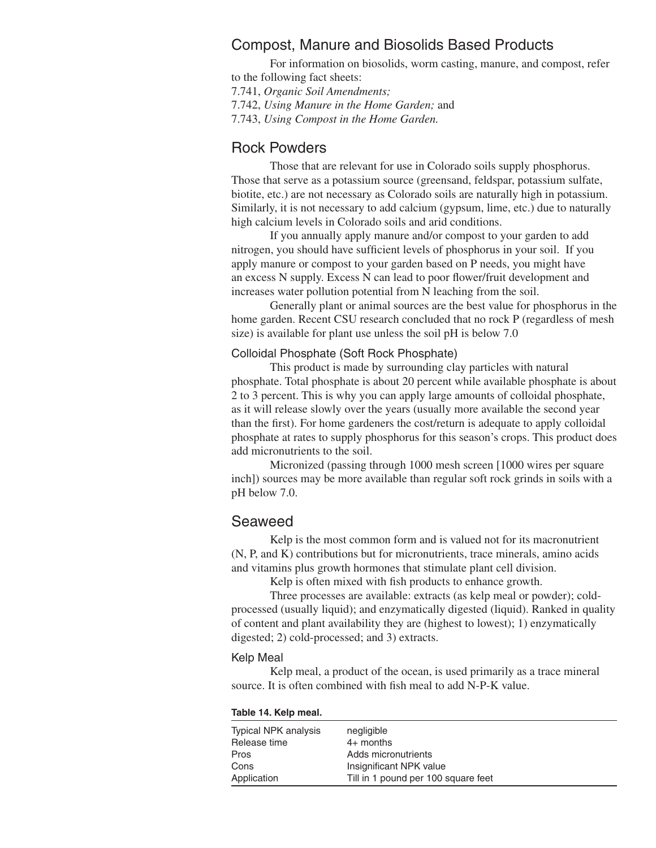## Compost, Manure and Biosolids Based Products

For information on biosolids, worm casting, manure, and compost, refer to the following fact sheets:

7.741, *Organic Soil Amendments;*

7.742, *Using Manure in the Home Garden;* and

7.743, *Using Compost in the Home Garden.*

## Rock Powders

Those that are relevant for use in Colorado soils supply phosphorus. Those that serve as a potassium source (greensand, feldspar, potassium sulfate, biotite, etc.) are not necessary as Colorado soils are naturally high in potassium. Similarly, it is not necessary to add calcium (gypsum, lime, etc.) due to naturally high calcium levels in Colorado soils and arid conditions.

If you annually apply manure and/or compost to your garden to add nitrogen, you should have sufficient levels of phosphorus in your soil. If you apply manure or compost to your garden based on P needs, you might have an excess N supply. Excess N can lead to poor flower/fruit development and increases water pollution potential from N leaching from the soil.

Generally plant or animal sources are the best value for phosphorus in the home garden. Recent CSU research concluded that no rock P (regardless of mesh size) is available for plant use unless the soil pH is below 7.0

## Colloidal Phosphate (Soft Rock Phosphate)

This product is made by surrounding clay particles with natural phosphate. Total phosphate is about 20 percent while available phosphate is about 2 to 3 percent. This is why you can apply large amounts of colloidal phosphate, as it will release slowly over the years (usually more available the second year than the first). For home gardeners the cost/return is adequate to apply colloidal phosphate at rates to supply phosphorus for this season's crops. This product does add micronutrients to the soil.

Micronized (passing through 1000 mesh screen [1000 wires per square inch]) sources may be more available than regular soft rock grinds in soils with a pH below 7.0.

## Seaweed

Kelp is the most common form and is valued not for its macronutrient (N, P, and K) contributions but for micronutrients, trace minerals, amino acids and vitamins plus growth hormones that stimulate plant cell division.

Kelp is often mixed with fish products to enhance growth.

Three processes are available: extracts (as kelp meal or powder); coldprocessed (usually liquid); and enzymatically digested (liquid). Ranked in quality of content and plant availability they are (highest to lowest); 1) enzymatically digested; 2) cold-processed; and 3) extracts.

#### Kelp Meal

Kelp meal, a product of the ocean, is used primarily as a trace mineral source. It is often combined with fish meal to add N-P-K value.

#### **Table 14. Kelp meal.**

| Typical NPK analysis<br>Release time | negligible<br>$4+$ months           |
|--------------------------------------|-------------------------------------|
| Pros                                 | Adds micronutrients                 |
| Cons                                 | Insignificant NPK value             |
| Application                          | Till in 1 pound per 100 square feet |